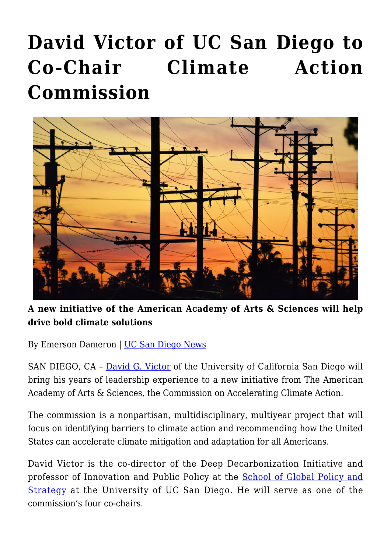## **[David Victor of UC San Diego to](https://gpsnews.ucsd.edu/david-victor-of-uc-san-diego-to-co-chair-climate-action-commission/) [Co-Chair Climate Action](https://gpsnews.ucsd.edu/david-victor-of-uc-san-diego-to-co-chair-climate-action-commission/) [Commission](https://gpsnews.ucsd.edu/david-victor-of-uc-san-diego-to-co-chair-climate-action-commission/)**



## **A new initiative of the American Academy of Arts & Sciences will help drive bold climate solutions**

By Emerson Dameron | [UC San Diego News](https://ucsdnews.ucsd.edu/pressrelease/county-partners-with-uc-san-diego-on-plan-to-reach-zero-emissions-by-2035)

SAN DIEGO, CA – [David G. Victor](https://gps.ucsd.edu/faculty-directory/david-victor.html) of the University of California San Diego will bring his years of leadership experience to a new initiative from The American Academy of Arts & Sciences, the Commission on Accelerating Climate Action.

The commission is a nonpartisan, multidisciplinary, multiyear project that will focus on identifying barriers to climate action and recommending how the United States can accelerate climate mitigation and adaptation for all Americans.

David Victor is the co-director of the Deep Decarbonization Initiative and professor of Innovation and Public Policy at the [School of Global Policy and](https://gps.ucsd.edu/) [Strategy](https://gps.ucsd.edu/) at the University of UC San Diego. He will serve as one of the commission's four co-chairs.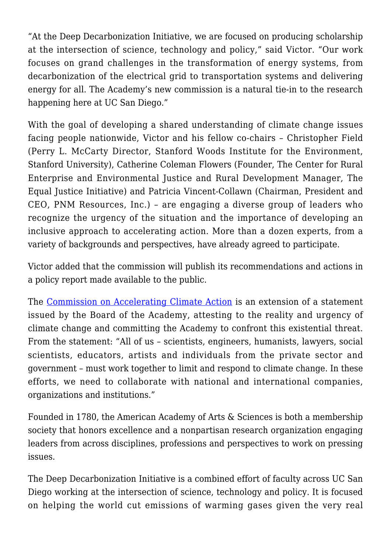"At the Deep Decarbonization Initiative, we are focused on producing scholarship at the intersection of science, technology and policy," said Victor. "Our work focuses on grand challenges in the transformation of energy systems, from decarbonization of the electrical grid to transportation systems and delivering energy for all. The Academy's new commission is a natural tie-in to the research happening here at UC San Diego."

With the goal of developing a shared understanding of climate change issues facing people nationwide, Victor and his fellow co-chairs – Christopher Field (Perry L. McCarty Director, Stanford Woods Institute for the Environment, Stanford University), Catherine Coleman Flowers (Founder, The Center for Rural Enterprise and Environmental Justice and Rural Development Manager, The Equal Justice Initiative) and Patricia Vincent-Collawn (Chairman, President and CEO, PNM Resources, Inc.) – are engaging a diverse group of leaders who recognize the urgency of the situation and the importance of developing an inclusive approach to accelerating action. More than a dozen experts, from a variety of backgrounds and perspectives, have already agreed to participate.

Victor added that the commission will publish its recommendations and actions in a policy report made available to the public.

The [Commission on Accelerating Climate Action](https://www.amacad.org/project/accelerating-climate-action) is an extension of a statement issued by the Board of the Academy, attesting to the reality and urgency of climate change and committing the Academy to confront this existential threat. From the statement: "All of us – scientists, engineers, humanists, lawyers, social scientists, educators, artists and individuals from the private sector and government – must work together to limit and respond to climate change. In these efforts, we need to collaborate with national and international companies, organizations and institutions."

Founded in 1780, the American Academy of Arts & Sciences is both a membership society that honors excellence and a nonpartisan research organization engaging leaders from across disciplines, professions and perspectives to work on pressing issues.

The Deep Decarbonization Initiative is a combined effort of faculty across UC San Diego working at the intersection of science, technology and policy. It is focused on helping the world cut emissions of warming gases given the very real